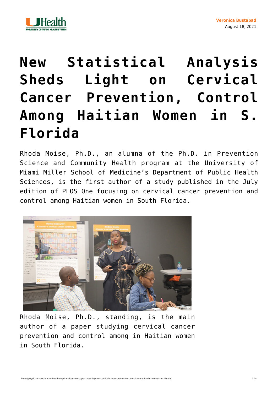

## **[New Statistical Analysis](https://physician-news.umiamihealth.org/dr-moises-new-paper-sheds-light-on-cervical-cancer-prevention-control-among-haitian-women-in-s-florida/) [Sheds Light on Cervical](https://physician-news.umiamihealth.org/dr-moises-new-paper-sheds-light-on-cervical-cancer-prevention-control-among-haitian-women-in-s-florida/) [Cancer Prevention, Control](https://physician-news.umiamihealth.org/dr-moises-new-paper-sheds-light-on-cervical-cancer-prevention-control-among-haitian-women-in-s-florida/) [Among Haitian Women in S.](https://physician-news.umiamihealth.org/dr-moises-new-paper-sheds-light-on-cervical-cancer-prevention-control-among-haitian-women-in-s-florida/) [Florida](https://physician-news.umiamihealth.org/dr-moises-new-paper-sheds-light-on-cervical-cancer-prevention-control-among-haitian-women-in-s-florida/)**

Rhoda Moise, Ph.D., an alumna of the Ph.D. in Prevention Science and Community Health program at the University of Miami Miller School of Medicine's Department of Public Health Sciences, is the first author of a study published in the July edition of [PLOS One](https://journals.plos.org/plosone/) focusing on cervical cancer prevention and control among Haitian women in South Florida.



Rhoda Moise, Ph.D., standing, is the main author of a paper studying cervical cancer prevention and control among in Haitian women in South Florida.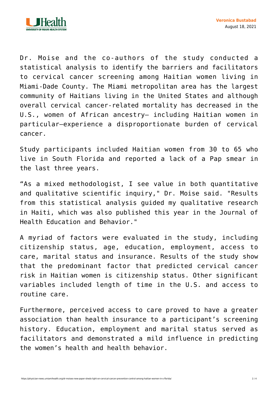

Dr. Moise and the co-authors of the study conducted a statistical analysis to identify the barriers and facilitators to cervical cancer screening among Haitian women living in Miami-Dade County. The Miami metropolitan area has the largest community of Haitians living in the United States and although overall cervical cancer-related mortality has decreased in the U.S., women of African ancestry— including Haitian women in particular—experience a disproportionate burden of cervical cancer.

Study participants included Haitian women from 30 to 65 who live in South Florida and reported a lack of a Pap smear in the last three years.

"As a mixed methodologist, I see value in both quantitative and qualitative scientific inquiry," Dr. Moise said. "Results from this statistical analysis guided my qualitative research in Haiti, which was also published this year in the Journal of Health Education and Behavior."

A myriad of factors were evaluated in the study, including citizenship status, age, education, employment, access to care, marital status and insurance. Results of the study show that the predominant factor that predicted cervical cancer risk in Haitian women is citizenship status. Other significant variables included length of time in the U.S. and access to routine care.

Furthermore, perceived access to care proved to have a greater association than health insurance to a participant's screening history. Education, employment and marital status served as facilitators and demonstrated a mild influence in predicting the women's health and health behavior.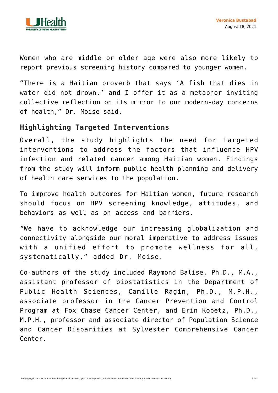

Women who are middle or older age were also more likely to report previous screening history compared to younger women.

"There is a Haitian proverb that says 'A fish that dies in water did not drown,' and I offer it as a metaphor inviting collective reflection on its mirror to our modern-day concerns of health," Dr. Moise said.

## **Highlighting Targeted Interventions**

Overall, the study highlights the need for targeted interventions to address the factors that influence HPV infection and related cancer among Haitian women. Findings from the study will inform public health planning and delivery of health care services to the population.

To improve health outcomes for Haitian women, future research should focus on HPV screening knowledge, attitudes, and behaviors as well as on access and barriers.

*"*We have to acknowledge our increasing globalization and connectivity alongside our moral imperative to address issues with a unified effort to promote wellness for all, systematically," added Dr. Moise.

Co-authors of the study included Raymond Balise, Ph.D., M.A., assistant professor of biostatistics in the Department of Public Health Sciences, Camille Ragin, Ph.D., M.P.H., associate professor in the Cancer Prevention and Control Program at Fox Chase Cancer Center, and Erin Kobetz, Ph.D., M.P.H., professor and associate director of Population Science and Cancer Disparities at Sylvester Comprehensive Cancer Center.